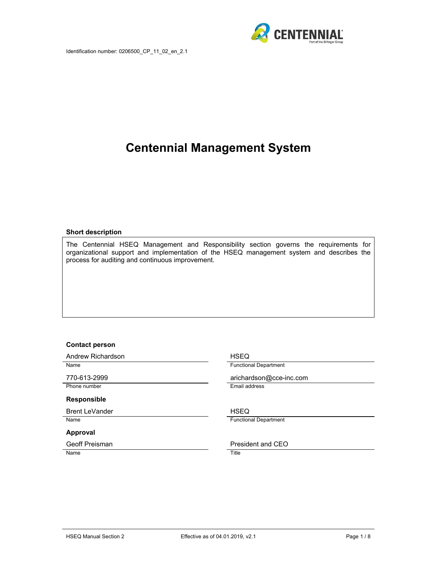

# **Centennial Management System**

#### **Short description**

The Centennial HSEQ Management and Responsibility section governs the requirements for organizational support and implementation of the HSEQ management system and describes the process for auditing and continuous improvement.

#### **Contact person**

Andrew Richardson **HSEQ** Name **Functional Department** 770-613-2999 arichardson@cce-inc.com Phone number **Email address Responsible**  Brent LeVander **HSEQ** Name **Functional Department Approval**  Geoff Preisman **President and CEO** Name Title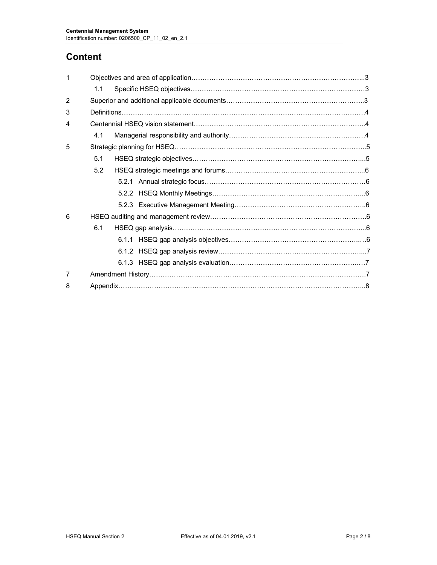## **Content**

|               | 1.1 |  |  |  |  |  |
|---------------|-----|--|--|--|--|--|
| $\mathcal{P}$ |     |  |  |  |  |  |
| 3             |     |  |  |  |  |  |
| 4             |     |  |  |  |  |  |
|               | 4.1 |  |  |  |  |  |
| 5             |     |  |  |  |  |  |
|               | 5.1 |  |  |  |  |  |
|               | 5.2 |  |  |  |  |  |
|               |     |  |  |  |  |  |
|               |     |  |  |  |  |  |
|               |     |  |  |  |  |  |
| 6             |     |  |  |  |  |  |
|               | 6.1 |  |  |  |  |  |
|               |     |  |  |  |  |  |
|               |     |  |  |  |  |  |
|               |     |  |  |  |  |  |
| 7             |     |  |  |  |  |  |
| 8             |     |  |  |  |  |  |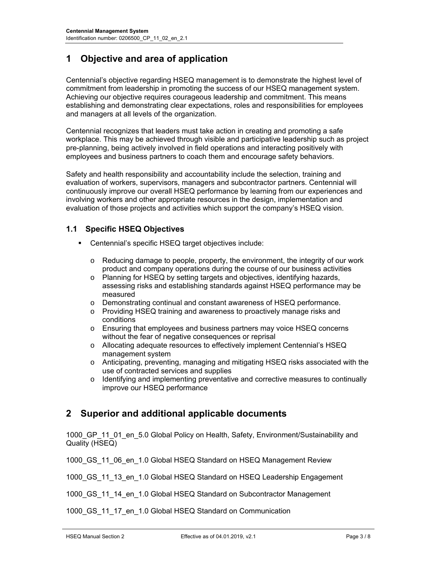## **1 Objective and area of application**

Centennial's objective regarding HSEQ management is to demonstrate the highest level of commitment from leadership in promoting the success of our HSEQ management system. Achieving our objective requires courageous leadership and commitment. This means establishing and demonstrating clear expectations, roles and responsibilities for employees and managers at all levels of the organization.

Centennial recognizes that leaders must take action in creating and promoting a safe workplace. This may be achieved through visible and participative leadership such as project pre-planning, being actively involved in field operations and interacting positively with employees and business partners to coach them and encourage safety behaviors.

Safety and health responsibility and accountability include the selection, training and evaluation of workers, supervisors, managers and subcontractor partners. Centennial will continuously improve our overall HSEQ performance by learning from our experiences and involving workers and other appropriate resources in the design, implementation and evaluation of those projects and activities which support the company's HSEQ vision.

#### **1.1 Specific HSEQ Objectives**

- Centennial's specific HSEQ target objectives include:
	- $\circ$  Reducing damage to people, property, the environment, the integrity of our work product and company operations during the course of our business activities
	- o Planning for HSEQ by setting targets and objectives, identifying hazards, assessing risks and establishing standards against HSEQ performance may be measured
	- o Demonstrating continual and constant awareness of HSEQ performance.
	- o Providing HSEQ training and awareness to proactively manage risks and conditions
	- o Ensuring that employees and business partners may voice HSEQ concerns without the fear of negative consequences or reprisal
	- o Allocating adequate resources to effectively implement Centennial's HSEQ management system
	- o Anticipating, preventing, managing and mitigating HSEQ risks associated with the use of contracted services and supplies
	- o Identifying and implementing preventative and corrective measures to continually improve our HSEQ performance

## **2 Superior and additional applicable documents**

1000 GP 11 01 en 5.0 Global Policy on Health, Safety, Environment/Sustainability and Quality (HSEQ)

1000 GS 11 06 en 1.0 Global HSEQ Standard on HSEQ Management Review

1000 GS 11 13 en 1.0 Global HSEQ Standard on HSEQ Leadership Engagement

1000 GS 11 14 en 1.0 Global HSEQ Standard on Subcontractor Management

1000 GS 11 17 en 1.0 Global HSEQ Standard on Communication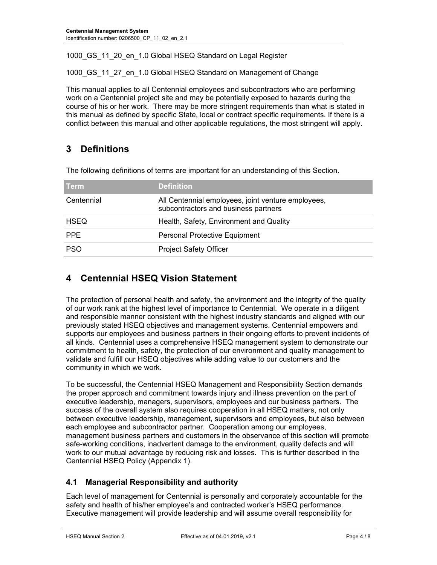1000 GS 11 20 en 1.0 Global HSEQ Standard on Legal Register

1000 GS 11 27 en 1.0 Global HSEQ Standard on Management of Change

This manual applies to all Centennial employees and subcontractors who are performing work on a Centennial project site and may be potentially exposed to hazards during the course of his or her work. There may be more stringent requirements than what is stated in this manual as defined by specific State, local or contract specific requirements. If there is a conflict between this manual and other applicable regulations, the most stringent will apply.

## **3 Definitions**

The following definitions of terms are important for an understanding of this Section.

| <b>Term</b> | <b>Definition</b>                                                                          |
|-------------|--------------------------------------------------------------------------------------------|
| Centennial  | All Centennial employees, joint venture employees,<br>subcontractors and business partners |
| <b>HSEQ</b> | Health, Safety, Environment and Quality                                                    |
| <b>PPE</b>  | <b>Personal Protective Equipment</b>                                                       |
| <b>PSO</b>  | <b>Project Safety Officer</b>                                                              |

## **4 Centennial HSEQ Vision Statement**

The protection of personal health and safety, the environment and the integrity of the quality of our work rank at the highest level of importance to Centennial. We operate in a diligent and responsible manner consistent with the highest industry standards and aligned with our previously stated HSEQ objectives and management systems. Centennial empowers and supports our employees and business partners in their ongoing efforts to prevent incidents of all kinds. Centennial uses a comprehensive HSEQ management system to demonstrate our commitment to health, safety, the protection of our environment and quality management to validate and fulfill our HSEQ objectives while adding value to our customers and the community in which we work.

To be successful, the Centennial HSEQ Management and Responsibility Section demands the proper approach and commitment towards injury and illness prevention on the part of executive leadership, managers, supervisors, employees and our business partners. The success of the overall system also requires cooperation in all HSEQ matters, not only between executive leadership, management, supervisors and employees, but also between each employee and subcontractor partner. Cooperation among our employees, management business partners and customers in the observance of this section will promote safe-working conditions, inadvertent damage to the environment, quality defects and will work to our mutual advantage by reducing risk and losses. This is further described in the Centennial HSEQ Policy (Appendix 1).

### **4.1 Managerial Responsibility and authority**

Each level of management for Centennial is personally and corporately accountable for the safety and health of his/her employee's and contracted worker's HSEQ performance. Executive management will provide leadership and will assume overall responsibility for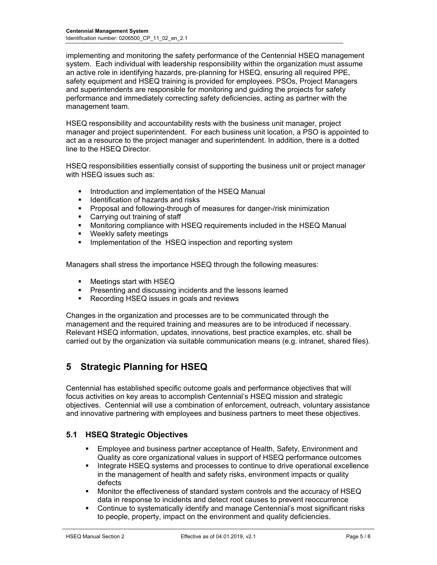implementing and monitoring the safety performance of the Centennial HSEQ management system. Each individual with leadership responsibility within the organization must assume an active role in identifying hazards, pre-planning for HSEQ, ensuring all required PPE, safety equipment and HSEQ training is provided for employees. PSOs, Project Managers and superintendents are responsible for monitoring and guiding the projects for safety performance and immediately correcting safety deficiencies, acting as partner with the management team.

HSEQ responsibility and accountability rests with the business unit manager, project manager and project superintendent. For each business unit location, a PSO is appointed to act as a resource to the project manager and superintendent. In addition, there is a dotted line to the HSEQ Director.

HSEQ responsibilities essentially consist of supporting the business unit or project manager with HSEQ issues such as:

- **Introduction and implementation of the HSEQ Manual**
- **IDED** Identification of hazards and risks
- **Proposal and following-through of measures for danger-/risk minimization**
- Carrying out training of staff
- Monitoring compliance with HSEQ requirements included in the HSEQ Manual
- **Weekly safety meetings**
- **IMPLEMENTER IMPLEMENT IMPLEM** Implementation of the HSEQ inspection and reporting system

Managers shall stress the importance HSEQ through the following measures:

- Meetings start with HSEQ
- **Presenting and discussing incidents and the lessons learned**
- Recording HSEQ issues in goals and reviews

Changes in the organization and processes are to be communicated through the management and the required training and measures are to be introduced if necessary. Relevant HSEQ information, updates, innovations, best practice examples, etc. shall be carried out by the organization via suitable communication means (e.g. intranet, shared files).

## **5 Strategic Planning for HSEQ**

Centennial has established specific outcome goals and performance objectives that will focus activities on key areas to accomplish Centennial's HSEQ mission and strategic objectives. Centennial will use a combination of enforcement, outreach, voluntary assistance and innovative partnering with employees and business partners to meet these objectives.

#### **5.1 HSEQ Strategic Objectives**

- **Employee and business partner acceptance of Health, Safety, Environment and** Quality as core organizational values in support of HSEQ performance outcomes
- Integrate HSEQ systems and processes to continue to drive operational excellence in the management of health and safety risks, environment impacts or quality defects
- Monitor the effectiveness of standard system controls and the accuracy of HSEQ data in response to incidents and detect root causes to prevent reoccurrence
- Continue to systematically identify and manage Centennial's most significant risks to people, property, impact on the environment and quality deficiencies.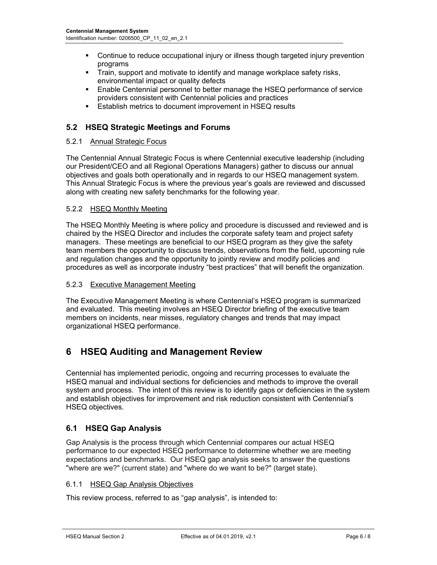- Continue to reduce occupational injury or illness though targeted injury prevention programs
- Train, support and motivate to identify and manage workplace safety risks, environmental impact or quality defects
- Enable Centennial personnel to better manage the HSEQ performance of service providers consistent with Centennial policies and practices
- **Establish metrics to document improvement in HSEQ results**

### **5.2 HSEQ Strategic Meetings and Forums**

#### 5.2.1 Annual Strategic Focus

The Centennial Annual Strategic Focus is where Centennial executive leadership (including our President/CEO and all Regional Operations Managers) gather to discuss our annual objectives and goals both operationally and in regards to our HSEQ management system. This Annual Strategic Focus is where the previous year's goals are reviewed and discussed along with creating new safety benchmarks for the following year.

#### 5.2.2 HSEQ Monthly Meeting

The HSEQ Monthly Meeting is where policy and procedure is discussed and reviewed and is chaired by the HSEQ Director and includes the corporate safety team and project safety managers. These meetings are beneficial to our HSEQ program as they give the safety team members the opportunity to discuss trends, observations from the field, upcoming rule and regulation changes and the opportunity to jointly review and modify policies and procedures as well as incorporate industry "best practices" that will benefit the organization.

#### 5.2.3 Executive Management Meeting

The Executive Management Meeting is where Centennial's HSEQ program is summarized and evaluated. This meeting involves an HSEQ Director briefing of the executive team members on incidents, near misses, regulatory changes and trends that may impact organizational HSEQ performance.

## **6 HSEQ Auditing and Management Review**

Centennial has implemented periodic, ongoing and recurring processes to evaluate the HSEQ manual and individual sections for deficiencies and methods to improve the overall system and process. The intent of this review is to identify gaps or deficiencies in the system and establish objectives for improvement and risk reduction consistent with Centennial's HSEQ objectives.

#### **6.1 HSEQ Gap Analysis**

Gap Analysis is the process through which Centennial compares our actual HSEQ performance to our expected HSEQ performance to determine whether we are meeting expectations and benchmarks. Our HSEQ gap analysis seeks to answer the questions "where are we?" (current state) and "where do we want to be?" (target state).

#### 6.1.1 HSEQ Gap Analysis Objectives

This review process, referred to as "gap analysis", is intended to: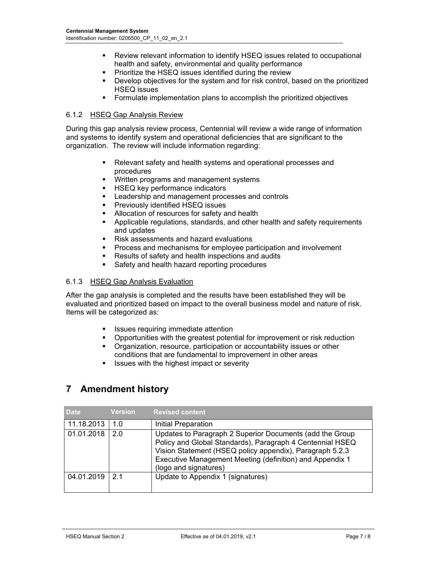- Review relevant information to identify HSEQ issues related to occupational health and safety, environmental and quality performance
- **Prioritize the HSEQ issues identified during the review**
- Develop objectives for the system and for risk control, based on the prioritized HSEQ issues
- Formulate implementation plans to accomplish the prioritized objectives

#### 6.1.2 HSEQ Gap Analysis Review

During this gap analysis review process, Centennial will review a wide range of information and systems to identify system and operational deficiencies that are significant to the organization. The review will include information regarding:

- Relevant safety and health systems and operational processes and procedures
- **•** Written programs and management systems
- **HSEQ key performance indicators**
- **EXECTE Leadership and management processes and controls**
- **Previously identified HSEQ issues**
- Allocation of resources for safety and health
- Applicable regulations, standards, and other health and safety requirements and updates
- Risk assessments and hazard evaluations
- Process and mechanisms for employee participation and involvement
- Results of safety and health inspections and audits
- Safety and health hazard reporting procedures

#### 6.1.3 HSEQ Gap Analysis Evaluation

After the gap analysis is completed and the results have been established they will be evaluated and prioritized based on impact to the overall business model and nature of risk. Items will be categorized as:

- Issues requiring immediate attention
- **•** Opportunities with the greatest potential for improvement or risk reduction
- Organization, resource, participation or accountability issues or other conditions that are fundamental to improvement in other areas
- $\blacksquare$  Issues with the highest impact or severity

## **7 Amendment history**

| <b>Date</b>        | <b>Version</b> | <b>Revised content</b>                                                                                                                                                                                                                                                 |
|--------------------|----------------|------------------------------------------------------------------------------------------------------------------------------------------------------------------------------------------------------------------------------------------------------------------------|
| 11.18.2013         | 1.0            | Initial Preparation                                                                                                                                                                                                                                                    |
| 01.01.2018         | 2.0            | Updates to Paragraph 2 Superior Documents (add the Group<br>Policy and Global Standards), Paragraph 4 Centennial HSEQ<br>Vision Statement (HSEQ policy appendix), Paragraph 5.2.3<br>Executive Management Meeting (definition) and Appendix 1<br>(logo and signatures) |
| $04.01.2019$   2.1 |                | Update to Appendix 1 (signatures)                                                                                                                                                                                                                                      |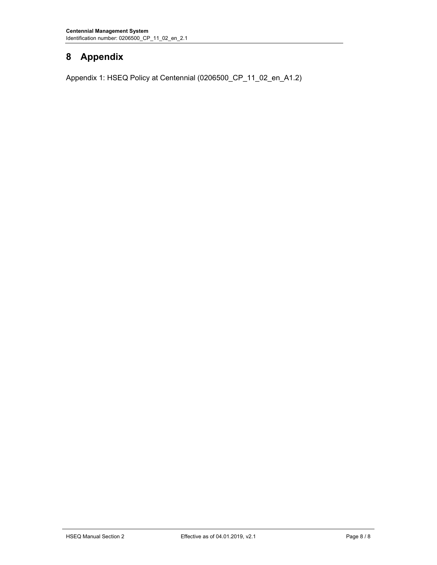## **8 Appendix**

Appendix 1: HSEQ Policy at Centennial (0206500\_CP\_11\_02\_en\_A1.2)